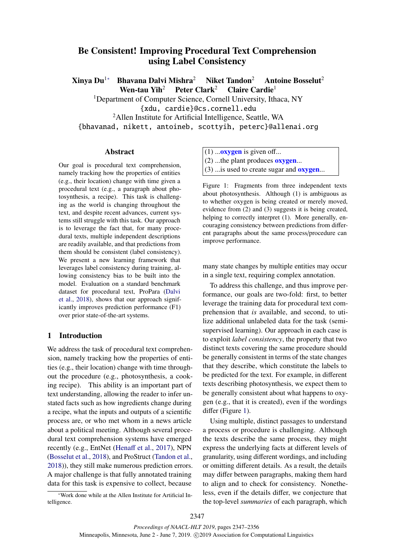# <span id="page-0-1"></span>Be Consistent! Improving Procedural Text Comprehension using Label Consistency

Xinya Du<sup>1</sup><sup>∗</sup> Bhavana Dalvi Mishra<sup>2</sup> Niket Tandon<sup>2</sup> Antoine Bosselut<sup>2</sup>

Wen-tau Yih<sup>2</sup> Peter Clark<sup>2</sup> Claire Cardie<sup>1</sup>

<sup>1</sup>Department of Computer Science, Cornell University, Ithaca, NY

{xdu, cardie}@cs.cornell.edu

<sup>2</sup>Allen Institute for Artificial Intelligence, Seattle, WA

{bhavanad, nikett, antoineb, scottyih, peterc}@allenai.org

#### Abstract

Our goal is procedural text comprehension, namely tracking how the properties of entities (e.g., their location) change with time given a procedural text (e.g., a paragraph about photosynthesis, a recipe). This task is challenging as the world is changing throughout the text, and despite recent advances, current systems still struggle with this task. Our approach is to leverage the fact that, for many procedural texts, multiple independent descriptions are readily available, and that predictions from them should be consistent (label consistency). We present a new learning framework that leverages label consistency during training, allowing consistency bias to be built into the model. Evaluation on a standard benchmark dataset for procedural text, ProPara [\(Dalvi](#page-9-0) [et al.,](#page-9-0) [2018\)](#page-9-0), shows that our approach significantly improves prediction performance (F1) over prior state-of-the-art systems.

# 1 Introduction

We address the task of procedural text comprehension, namely tracking how the properties of entities (e.g., their location) change with time throughout the procedure (e.g., photosynthesis, a cooking recipe). This ability is an important part of text understanding, allowing the reader to infer unstated facts such as how ingredients change during a recipe, what the inputs and outputs of a scientific process are, or who met whom in a news article about a political meeting. Although several procedural text comprehension systems have emerged recently (e.g., EntNet [\(Hena](#page-9-1)ff et al., [2017\)](#page-9-1), NPN [\(Bosselut et al.,](#page-9-2) [2018\)](#page-9-2), and ProStruct [\(Tandon et al.,](#page-9-3) [2018\)](#page-9-3)), they still make numerous prediction errors. A major challenge is that fully annotated training data for this task is expensive to collect, because

\*Work done while at the Allen Institute for Artificial Intelligence.

<span id="page-0-0"></span> $(1)$  ... oxygen is given of f...  $(2)$  ...the plant produces **oxygen**...  $(3)$  ... is used to create sugar and **oxygen**...

Figure 1: Fragments from three independent texts about photosynthesis. Although (1) is ambiguous as to whether oxygen is being created or merely moved, evidence from (2) and (3) suggests it is being created, helping to correctly interpret (1). More generally, encouraging consistency between predictions from different paragraphs about the same process/procedure can improve performance.

many state changes by multiple entities may occur in a single text, requiring complex annotation.

To address this challenge, and thus improve performance, our goals are two-fold: first, to better leverage the training data for procedural text comprehension that *is* available, and second, to utilize additional unlabeled data for the task (semisupervised learning). Our approach in each case is to exploit *label consistency*, the property that two distinct texts covering the same procedure should be generally consistent in terms of the state changes that they describe, which constitute the labels to be predicted for the text. For example, in different texts describing photosynthesis, we expect them to be generally consistent about what happens to oxygen (e.g., that it is created), even if the wordings differ (Figure [1\)](#page-0-0).

Using multiple, distinct passages to understand a process or procedure is challenging. Although the texts describe the same process, they might express the underlying facts at different levels of granularity, using different wordings, and including or omitting different details. As a result, the details may differ between paragraphs, making them hard to align and to check for consistency. Nonetheless, even if the details differ, we conjecture that the top-level *summaries* of each paragraph, which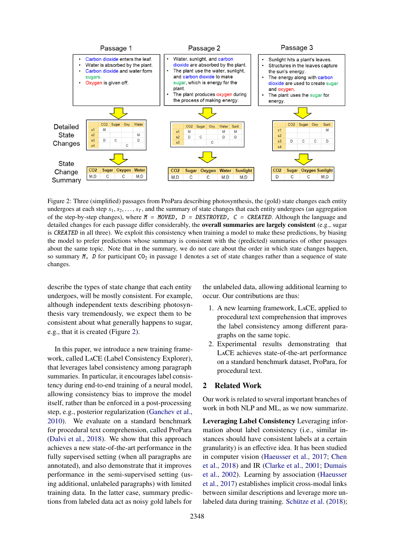<span id="page-1-0"></span>

Figure 2: Three (simplified) passages from ProPara describing photosynthesis, the (gold) state changes each entity undergoes at each step  $s_1, s_2, \ldots, s_T$ , and the summary of state changes that each entity undergoes (an aggregation of the step-by-step changes), where  $M = MoveD$ ,  $D = DESTROYED$ ,  $C = CREATED$ . Although the language and detailed changes for each passage differ considerably, the overall summaries are largely consistent (e.g., sugar is CREATED in all three). We exploit this consistency when training a model to make these predictions, by biasing the model to prefer predictions whose summary is consistent with the (predicted) summaries of other passages about the same topic. Note that in the summary, we do not care about the order in which state changes happen, so summary  $M$ , D for participant  $CO<sub>2</sub>$  in passage 1 denotes a set of state changes rather than a sequence of state changes.

describe the types of state change that each entity undergoes, will be mostly consistent. For example, although independent texts describing photosynthesis vary tremendously, we expect them to be consistent about what generally happens to sugar, e.g., that it is created (Figure [2\)](#page-1-0).

In this paper, we introduce a new training framework, called LaCE (Label Consistency Explorer), that leverages label consistency among paragraph summaries. In particular, it encourages label consistency during end-to-end training of a neural model, allowing consistency bias to improve the model itself, rather than be enforced in a post-processing step, e.g., posterior regularization [\(Ganchev et al.,](#page-9-4) [2010\)](#page-9-4). We evaluate on a standard benchmark for procedural text comprehension, called ProPara [\(Dalvi et al.,](#page-9-0) [2018\)](#page-9-0). We show that this approach achieves a new state-of-the-art performance in the fully supervised setting (when all paragraphs are annotated), and also demonstrate that it improves performance in the semi-supervised setting (using additional, unlabeled paragraphs) with limited training data. In the latter case, summary predictions from labeled data act as noisy gold labels for

the unlabeled data, allowing additional learning to occur. Our contributions are thus:

- 1. A new learning framework, LaCE, applied to procedural text comprehension that improves the label consistency among different paragraphs on the same topic.
- 2. Experimental results demonstrating that LaCE achieves state-of-the-art performance on a standard benchmark dataset, ProPara, for procedural text.

# 2 Related Work

Our work is related to several important branches of work in both NLP and ML, as we now summarize.

Leveraging Label Consistency Leveraging information about label consistency (i.e., similar instances should have consistent labels at a certain granularity) is an effective idea. It has been studied in computer vision [\(Haeusser et al.,](#page-9-5) [2017;](#page-9-5) [Chen](#page-9-6) [et al.,](#page-9-6) [2018\)](#page-9-6) and IR [\(Clarke et al.,](#page-9-7) [2001;](#page-9-7) [Dumais](#page-9-8) [et al.,](#page-9-8) [2002\)](#page-9-8). Learning by association [\(Haeusser](#page-9-5) [et al.,](#page-9-5) [2017\)](#page-9-5) establishes implicit cross-modal links between similar descriptions and leverage more unlabeled data during training. [Schütze et al.](#page-9-9) [\(2018\)](#page-9-9);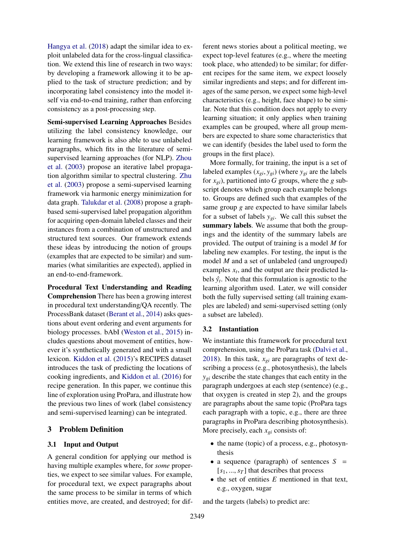[Hangya et al.](#page-9-10) [\(2018\)](#page-9-10) adapt the similar idea to exploit unlabeled data for the cross-lingual classification. We extend this line of research in two ways: by developing a framework allowing it to be applied to the task of structure prediction; and by incorporating label consistency into the model itself via end-to-end training, rather than enforcing consistency as a post-processing step.

Semi-supervised Learning Approaches Besides utilizing the label consistency knowledge, our learning framework is also able to use unlabeled paragraphs, which fits in the literature of semisupervised learning approaches (for NLP). [Zhou](#page-9-11) [et al.](#page-9-11) [\(2003\)](#page-9-11) propose an iterative label propagation algorithm similar to spectral clustering. [Zhu](#page-9-12) [et al.](#page-9-12) [\(2003\)](#page-9-12) propose a semi-supervised learning framework via harmonic energy minimization for data graph. [Talukdar et al.](#page-9-13) [\(2008\)](#page-9-13) propose a graphbased semi-supervised label propagation algorithm for acquiring open-domain labeled classes and their instances from a combination of unstructured and structured text sources. Our framework extends these ideas by introducing the notion of groups (examples that are expected to be similar) and summaries (what similarities are expected), applied in an end-to-end-framework.

Procedural Text Understanding and Reading Comprehension There has been a growing interest in procedural text understanding/QA recently. The ProcessBank dataset [\(Berant et al.,](#page-9-14) [2014\)](#page-9-14) asks questions about event ordering and event arguments for biology processes. bAbI [\(Weston et al.,](#page-9-15) [2015\)](#page-9-15) includes questions about movement of entities, however it's synthetically generated and with a small lexicon. [Kiddon et al.](#page-9-16) [\(2015\)](#page-9-16)'s RECIPES dataset introduces the task of predicting the locations of cooking ingredients, and [Kiddon et al.](#page-9-17) [\(2016\)](#page-9-17) for recipe generation. In this paper, we continue this line of exploration using ProPara, and illustrate how the previous two lines of work (label consistency and semi-supervised learning) can be integrated.

# 3 Problem Definition

# <span id="page-2-1"></span>3.1 Input and Output

A general condition for applying our method is having multiple examples where, for *some* properties, we expect to see similar values. For example, for procedural text, we expect paragraphs about the same process to be similar in terms of which entities move, are created, and destroyed; for dif-

ferent news stories about a political meeting, we expect top-level features (e.g., where the meeting took place, who attended) to be similar; for different recipes for the same item, we expect loosely similar ingredients and steps; and for different images of the same person, we expect some high-level characteristics (e.g., height, face shape) to be similar. Note that this condition does not apply to every learning situation; it only applies when training examples can be grouped, where all group members are expected to share some characteristics that we can identify (besides the label used to form the groups in the first place).

More formally, for training, the input is a set of labeled examples  $(x_{gi}, y_{gi})$  (where  $y_{gi}$  are the labels for  $x_{gi}$ ), partitioned into *G* groups, where the *g* subscript denotes which group each example belongs to. Groups are defined such that examples of the same group *g* are expected to have similar labels for a subset of labels *ygi*. We call this subset the summary labels. We assume that both the groupings and the identity of the summary labels are provided. The output of training is a model *M* for labeling new examples. For testing, the input is the model *M* and a set of unlabeled (and ungrouped) examples  $x_t$ , and the output are their predicted labels  $\hat{y}_t$ . Note that this formulation is agnostic to the learning algorithm used. Later, we will consider both the fully supervised setting (all training examples are labeled) and semi-supervised setting (only a subset are labeled).

#### <span id="page-2-0"></span>3.2 Instantiation

We instantiate this framework for procedural text comprehension, using the ProPara task [\(Dalvi et al.,](#page-9-0) [2018\)](#page-9-0). In this task,  $x_{gi}$  are paragraphs of text describing a process (e.g., photosynthesis), the labels *ygi* describe the state changes that each entity in the paragraph undergoes at each step (sentence) (e.g., that oxygen is created in step 2), and the groups are paragraphs about the same topic (ProPara tags each paragraph with a topic, e.g., there are three paragraphs in ProPara describing photosynthesis). More precisely, each *xgi* consists of:

- the name (topic) of a process, e.g., photosynthesis
- a sequence (paragraph) of sentences  $S =$  $[s_1, ..., s_T]$  that describes that process
- the set of entities *E* mentioned in that text, e.g., oxygen, sugar

and the targets (labels) to predict are: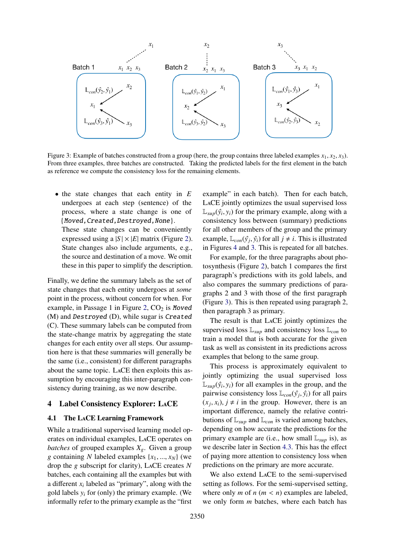<span id="page-3-0"></span>

Figure 3: Example of batches constructed from a group (here, the group contains three labeled examples  $x_1, x_2, x_3$ ). From three examples, three batches are constructed. Taking the predicted labels for the first element in the batch as reference we compute the consistency loss for the remaining elements.

• the state changes that each entity in *E* undergoes at each step (sentence) of the process, where a state change is one of {Moved,Created,Destroyed,None}. These state changes can be conveniently expressed using a  $|S| \times |E|$  matrix (Figure [2\)](#page-1-0). State changes also include arguments, e.g., the source and destination of a move. We omit these in this paper to simplify the description.

Finally, we define the summary labels as the set of state changes that each entity undergoes at *some* point in the process, without concern for when. For example, in Passage 1 in Figure [2,](#page-1-0)  $CO<sub>2</sub>$  is Moved (M) and Destroyed (D), while sugar is Created (C). These summary labels can be computed from the state-change matrix by aggregating the state changes for each entity over all steps. Our assumption here is that these summaries will generally be the same (i.e., consistent) for different paragraphs about the same topic. LaCE then exploits this assumption by encouraging this inter-paragraph consistency during training, as we now describe.

#### 4 Label Consistency Explorer: LaCE

#### <span id="page-3-1"></span>4.1 The LaCE Learning Framework

While a traditional supervised learning model operates on individual examples, LaCE operates on *batches* of grouped examples *Xg*. Given a group *<sup>g</sup>* containing *<sup>N</sup>* labeled examples {*x*1, ..., *<sup>x</sup>N*} (we drop the *g* subscript for clarity), LaCE creates *N* batches, each containing all the examples but with a different  $x_i$  labeled as "primary", along with the gold labels  $y_i$  for (only) the primary example. (We informally refer to the primary example as the "first

example" in each batch). Then for each batch, LaCE jointly optimizes the usual supervised loss  $\mathbb{L}_{sup}(\hat{y}_i, y_i)$  for the primary example, along with a consistency loss between (summary) predictions consistency loss between (summary) predictions for all other members of the group and the primary example,  $\mathbb{L}_{con}(\hat{y}_j, \hat{y}_i)$  for all  $j \neq i$ . This is illustrated<br>in Figures 4 and 3. This is repeated for all batches in Figures [4](#page-4-0) and [3.](#page-3-0) This is repeated for all batches.

For example, for the three paragraphs about photosynthesis (Figure [2\)](#page-1-0), batch 1 compares the first paragraph's predictions with its gold labels, and also compares the summary predictions of paragraphs 2 and 3 with those of the first paragraph (Figure [3\)](#page-3-0). This is then repeated using paragraph 2, then paragraph 3 as primary.

The result is that LaCE jointly optimizes the supervised loss L*sup* and consistency loss L*con* to train a model that is both accurate for the given task as well as consistent in its predictions across examples that belong to the same group.

This process is approximately equivalent to jointly optimizing the usual supervised loss  $\mathbb{L}_{sup}(\hat{y}_i, y_i)$  for all examples in the group, and the pairwise consistency loss  $\mathbb{L}$  ( $\hat{y}_i, \hat{y}_j$ ) for all pairs pairwise consistency loss  $\mathbb{L}_{con}(\hat{y}_i, \hat{y}_i)$  for all pairs  $(x_i, y_i)$  *i*  $\neq i$  in the group. However, there is an  $(x_j, x_i)$ ,  $j \neq i$  in the group. However, there is an important difference, namely the relative contriimportant difference, namely the relative contributions of  $\mathbb{L}_{sup}$  and  $\mathbb{L}_{con}$  is varied among batches, depending on how accurate the predictions for the primary example are (i.e., how small L*sup* is), as we describe later in Section [4.3.](#page-5-0) This has the effect of paying more attention to consistency loss when predictions on the primary are more accurate.

We also extend LaCE to the semi-supervised setting as follows. For the semi-supervised setting, where only  $m$  of  $n$  ( $m < n$ ) examples are labeled, we only form *m* batches, where each batch has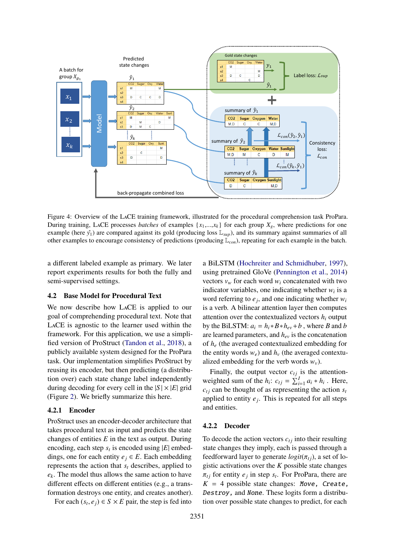<span id="page-4-0"></span>

Figure 4: Overview of the LaCE training framework, illustrated for the procedural comprehension task ProPara. During training, LACE processes *batches* of examples  $\{x_1,...,x_k\}$  for each group  $X_g$ , where predictions for one example (here  $\hat{y}_1$ ) are compared against its gold (producing loss  $\mathbb{L}_{sup}$ ), and its summary against summaries of all other examples to encourage consistency of predictions (producing L*con*), repeating for each example in the batch.

a different labeled example as primary. We later report experiments results for both the fully and semi-supervised settings.

# 4.2 Base Model for Procedural Text

We now describe how LaCE is applied to our goal of comprehending procedural text. Note that LaCE is agnostic to the learner used within the framework. For this application, we use a simplified version of ProStruct [\(Tandon et al.,](#page-9-3) [2018\)](#page-9-3), a publicly available system designed for the ProPara task. Our implementation simplifies ProStruct by reusing its encoder, but then predicting (a distribution over) each state change label independently during decoding for every cell in the  $|S| \times |E|$  grid (Figure [2\)](#page-1-0). We briefly summarize this here.

#### 4.2.1 Encoder

ProStruct uses an encoder-decoder architecture that takes procedural text as input and predicts the state changes of entities *E* in the text as output. During encoding, each step  $s_t$  is encoded using  $|E|$  embeddings, one for each entity  $e_j \in E$ . Each embedding represents the action that *s<sup>t</sup>* describes, applied to *ek*. The model thus allows the same action to have different effects on different entities (e.g., a transformation destroys one entity, and creates another).

For each  $(s_t, e_j) \in S \times E$  pair, the step is fed into

a BiLSTM [\(Hochreiter and Schmidhuber,](#page-9-18) [1997\)](#page-9-18), using pretrained GloVe [\(Pennington et al.,](#page-9-19) [2014\)](#page-9-19) vectors  $v_w$  for each word  $w_i$  concatenated with two indicator variables, one indicating whether  $w_i$  is a word referring to  $e_j$ , and one indicating whether  $w_i$ is a verb. A bilinear attention layer then computes attention over the contextualized vectors  $h_i$  output by the BiLSTM:  $a_i = h_i * B * h_{ev} + b$ , where *B* and *b* are learned parameters, and *hev* is the concatenation of *h<sup>e</sup>* (the averaged contextualized embedding for the entity words  $w_e$ ) and  $h_v$  (the averaged contextualized embedding for the verb words  $w<sub>v</sub>$ ).

Finally, the output vector  $c_{tj}$  is the attentionweighted sum of the  $h_i$ :  $c_{tj} = \sum_{i=1}^{I} a_i * h_i$ . Here,  $c_{tj}$  can be thought of as representing the action  $s_t$ applied to entity  $e_j$ . This is repeated for all steps and entities.

#### 4.2.2 Decoder

To decode the action vectors  $c_{ti}$  into their resulting state changes they imply, each is passed through a feedforward layer to generate  $logit(\pi_{t_i})$ , a set of logistic activations over the *K* possible state changes  $\pi_{tj}$  for entity  $e_j$  in step  $s_t$ . For ProPara, there are<br> $K = A$  possible state changes: Move, Create  $K = 4$  possible state changes: Move, Create, Destroy, and None. These logits form a distribution over possible state changes to predict, for each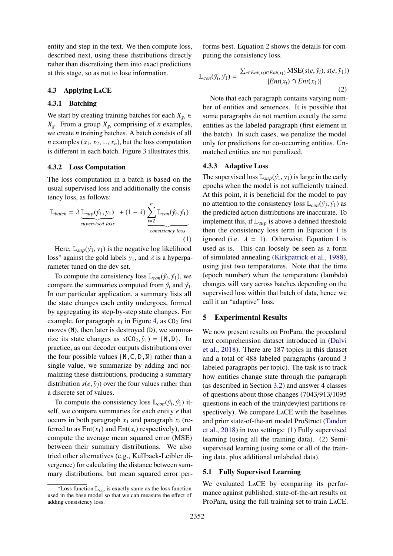entity and step in the text. We then compute loss, described next, using these distributions directly rather than discretizing them into exact predictions at this stage, so as not to lose information.

#### <span id="page-5-0"></span>4.3 Applying LaCE

#### 4.3.1 Batching

We start by creating training batches for each  $X_{g_i}$  ∈  $X_g$ . From a group  $X_{g_i}$  comprising of *n* examples, we create *n* training batches. A batch consists of all *n* examples  $(x_1, x_2, ..., x_n)$ , but the loss computation is different in each batch. Figure [3](#page-3-0) illustrates this.

#### 4.3.2 Loss Computation

The loss computation in a batch is based on the usual supervised loss and additionally the consistency loss, as follows:

$$
\mathbb{L}_{batch} = \lambda \underbrace{\mathbb{L}_{sup}(\hat{y}_1, y_1)}_{supervised loss} + (1 - \lambda) \underbrace{\sum_{i=2}^{n} \mathbb{L}_{con}(\hat{y}_i, \hat{y}_1)}_{consistency loss}
$$
\n(1)

Here,  $\mathbb{L}_{sup}(\hat{y_1}, y_1)$  is the negative log likelihood loss<sup>[\\*](#page-0-1)</sup> against the gold labels  $y_1$ , and  $\lambda$  is a hyperparameter tuned on the dev set.

To compute the consistency loss  $\mathbb{L}_{con}(\hat{y}_i, \hat{y}_1)$ , we make the summaries computed from  $\hat{y}_i$  and  $\hat{y}_i$ compare the summaries computed from  $\hat{y}_i$  and  $\hat{y}_1$ . In our particular application, a summary lists all the state changes each entity undergoes, formed by aggregating its step-by-step state changes. For example, for paragraph  $x_1$  in Figure [4,](#page-4-0) as  $CO_2$  first moves (M), then later is destroyed (D), we summarize its state changes as  $s(CO_2, \hat{y}_1) = \{M, D\}$ . In practice, as our decoder outputs distributions over the four possible values  $\{M, C, D, N\}$  rather than a single value, we summarize by adding and normalizing these distributions, producing a summary distribution  $s(e, \hat{y}_i)$  over the four values rather than a discrete set of values.

To compute the consistency loss  $\mathbb{L}_{con}(\hat{y}_i, \hat{y}_1)$  it-<br>If we compare summaries for each entity e that self, we compare summaries for each entity *e* that occurs in both paragraph  $x_1$  and paragraph  $x_i$  (referred to as  $Ent(x_1)$  and  $Ent(x_i)$  respectively), and compute the average mean squared error (MSE) between their summary distributions. We also tried other alternatives (e.g., Kullback-Leibler divergence) for calculating the distance between summary distributions, but mean squared error per-

forms best. Equation [2](#page-5-1) shows the details for computing the consistency loss.

$$
\mathbb{L}_{con}(\hat{y}_i, \hat{y}_1) = \frac{\sum_{e \in Ent(x_i) \cap Ent(x_1)} \text{MSE}(s(e, \hat{y}_i), s(e, \hat{y}_1))}{|Ent(x_i) \cap Ent(x_1)|}
$$
(2)

<span id="page-5-1"></span>Note that each paragraph contains varying number of entities and sentences. It is possible that some paragraphs do not mention exactly the same entities as the labeled paragraph (first element in the batch). In such cases, we penalize the model only for predictions for co-occurring entities. Unmatched entities are not penalized.

#### 4.3.3 Adaptive Loss

<span id="page-5-2"></span>The supervised loss  $\mathbb{L}_{\text{sup}}(\hat{y}_1, y_1)$  is large in the early epochs when the model is not sufficiently trained. At this point, it is beneficial for the model to pay no attention to the consistency loss  $\mathbb{L}_{con}(\hat{y}_i, \hat{y}_1)$  as the predicted action distributions are inaccurate. To the predicted action distributions are inaccurate. To implement this, if  $\mathbb{L}_{\text{sup}}$  is above a defined threshold then the consistency loss term in Equation [1](#page-5-2) is ignored (i.e.  $\lambda = 1$  $\lambda = 1$ ). Otherwise, Equation 1 is used as is. This can loosely be seen as a form of simulated annealing [\(Kirkpatrick et al.,](#page-9-20) [1988\)](#page-9-20), using just two temperatures. Note that the time (epoch number) when the temperature (lambda) changes will vary across batches depending on the supervised loss within that batch of data, hence we call it an "adaptive" loss.

#### 5 Experimental Results

We now present results on ProPara, the procedural text comprehension dataset introduced in [\(Dalvi](#page-9-0) [et al.,](#page-9-0) [2018\)](#page-9-0). There are 187 topics in this dataset and a total of 488 labeled paragraphs (around 3 labeled paragraphs per topic). The task is to track how entities change state through the paragraph (as described in Section [3.2\)](#page-2-0) and answer 4 classes of questions about those changes (7043/913/1095 questions in each of the train/dev/test partitions respectively). We compare LaCE with the baselines and prior state-of-the-art model ProStruct [\(Tandon](#page-9-3) [et al.,](#page-9-3) [2018\)](#page-9-3) in two settings: (1) Fully supervised learning (using all the training data). (2) Semisupervised learning (using some or all of the training data, plus additional unlabeled data).

#### 5.1 Fully Supervised Learning

We evaluated LaCE by comparing its performance against published, state-of-the-art results on ProPara, using the full training set to train LaCE.

<sup>\*</sup>Loss function  $\mathbb{L}_{\text{sum}}$  is exactly same as the loss function used in the base model so that we can measure the effect of adding consistency loss.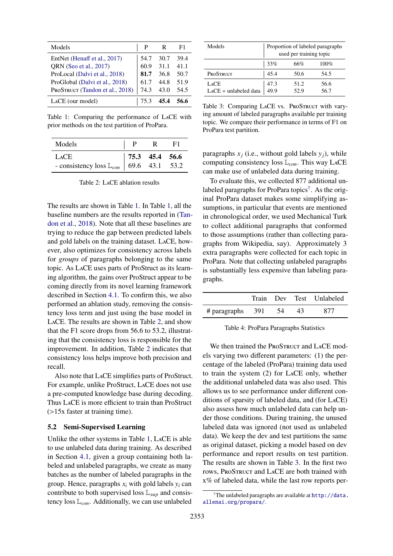<span id="page-6-0"></span>

| Models                          |      | R    | F1   |
|---------------------------------|------|------|------|
| EntNet (Henaff et al., 2017)    | 54.7 | 30.7 | 39.4 |
| QRN (Seo et al., 2017)          | 60.9 | 31.1 | 41.1 |
| ProLocal (Dalvi et al., 2018)   | 81.7 | 36.8 | 50.7 |
| ProGlobal (Dalvi et al., 2018)  | 61.7 | 44.8 | 51.9 |
| PROSTRUCT (Tandon et al., 2018) | 74.3 | 43.0 | 54.5 |
| LACE (our model)                | 75.3 | 45.4 | 56.6 |

Table 1: Comparing the performance of LaCE with prior methods on the test partition of ProPara.

<span id="page-6-1"></span>

| Models                                                                                                                | P R | -F1 |
|-----------------------------------------------------------------------------------------------------------------------|-----|-----|
|                                                                                                                       |     |     |
| LACE - consistency loss $\mathbb{L}_{con}$   75.3 45.4 56.6<br>- consistency loss $\mathbb{L}_{con}$   69.6 43.1 53.2 |     |     |

Table 2: LaCE ablation results

The results are shown in Table [1.](#page-6-0) In Table [1,](#page-6-0) all the baseline numbers are the results reported in [\(Tan](#page-9-3)[don et al.,](#page-9-3) [2018\)](#page-9-3). Note that all these baselines are trying to reduce the gap between predicted labels and gold labels on the training dataset. LaCE, however, also optimizes for consistency across labels for *groups* of paragraphs belonging to the same topic. As LaCE uses parts of ProStruct as its learning algorithm, the gains over ProStruct appear to be coming directly from its novel learning framework described in Section [4.1.](#page-3-1) To confirm this, we also performed an ablation study, removing the consistency loss term and just using the base model in LaCE. The results are shown in Table [2,](#page-6-1) and show that the F1 score drops from 56.6 to 53.2, illustrating that the consistency loss is responsible for the improvement. In addition, Table [2](#page-6-1) indicates that consistency loss helps improve both precision and recall.

Also note that LaCE simplifies parts of ProStruct. For example, unlike ProStruct, LaCE does not use a pre-computed knowledge base during decoding. Thus LaCE is more efficient to train than ProStruct (>15x faster at training time).

#### 5.2 Semi-Supervised Learning

Unlike the other systems in Table [1,](#page-6-0) LaCE is able to use unlabeled data during training. As described in Section [4.1,](#page-3-1) given a group containing both labeled and unlabeled paragraphs, we create as many batches as the number of labeled paragraphs in the group. Hence, paragraphs *x<sup>i</sup>* with gold labels *y<sup>i</sup>* can contribute to both supervised loss L*sup* and consistency loss L*con*. Additionally, we can use unlabeled

<span id="page-6-2"></span>

| Models                          | Proportion of labeled paragraphs<br>used per training topic |              |              |
|---------------------------------|-------------------------------------------------------------|--------------|--------------|
|                                 | 33%                                                         | 66%          | 100%         |
| PROSTRUCT                       | 45.4                                                        | 50.6         | 54.5         |
| LACE<br>$LACE + unlabeled data$ | 47.3<br>49.9                                                | 51.2<br>52.9 | 56.6<br>56.7 |

Table 3: Comparing LACE vs. ProSTRUCT with varying amount of labeled paragraphs available per training topic. We compare their performance in terms of F1 on ProPara test partition.

paragraphs  $x_j$  (i.e., without gold labels  $y_j$ ), while computing consistency loss L*con*. This way LaCE can make use of unlabeled data during training.

To evaluate this, we collected 877 additional unlabeled paragraphs for ProPara topics[†](#page-0-1) . As the original ProPara dataset makes some simplifying assumptions, in particular that events are mentioned in chronological order, we used Mechanical Turk to collect additional paragraphs that conformed to those assumptions (rather than collecting paragraphs from Wikipedia, say). Approximately 3 extra paragraphs were collected for each topic in ProPara. Note that collecting unlabeled paragraphs is substantially less expensive than labeling paragraphs.

|                    |      |    | Train Dev Test Unlabeled |
|--------------------|------|----|--------------------------|
| $#$ paragraphs 391 | - 54 | 43 | 877                      |

Table 4: ProPara Paragraphs Statistics

We then trained the PROSTRUCT and LACE models varying two different parameters: (1) the percentage of the labeled (ProPara) training data used to train the system (2) for LaCE only, whether the additional unlabeled data was also used. This allows us to see performance under different conditions of sparsity of labeled data, and (for LaCE) also assess how much unlabeled data can help under those conditions. During training, the unused labeled data was ignored (not used as unlabeled data). We keep the dev and test partitions the same as original dataset, picking a model based on dev performance and report results on test partition. The results are shown in Table [3.](#page-6-2) In the first two rows, ProSTRUCT and LACE are both trained with x% of labeled data, while the last row reports per-

<sup>†</sup>The unlabeled paragraphs are available at [http://data.](http://data.allenai.org/propara/) [allenai.org/propara/](http://data.allenai.org/propara/).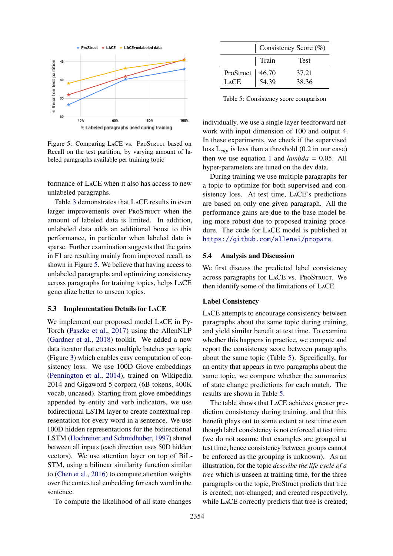<span id="page-7-0"></span>

Figure 5: Comparing LACE vs. PROSTRUCT based on Recall on the test partition, by varying amount of labeled paragraphs available per training topic

formance of LaCE when it also has access to new unlabeled paragraphs.

Table [3](#page-6-2) demonstrates that LaCE results in even larger improvements over PROSTRUCT when the amount of labeled data is limited. In addition, unlabeled data adds an additional boost to this performance, in particular when labeled data is sparse. Further examination suggests that the gains in F1 are resulting mainly from improved recall, as shown in Figure [5.](#page-7-0) We believe that having access to unlabeled paragraphs and optimizing consistency across paragraphs for training topics, helps LaCE generalize better to unseen topics.

#### 5.3 Implementation Details for LaCE

We implement our proposed model LaCE in Py-Torch [\(Paszke et al.,](#page-9-22) [2017\)](#page-9-22) using the AllenNLP [\(Gardner et al.,](#page-9-23) [2018\)](#page-9-23) toolkit. We added a new data iterator that creates multiple batches per topic (Figure [3\)](#page-3-0) which enables easy computation of consistency loss. We use 100D Glove embeddings [\(Pennington et al.,](#page-9-19) [2014\)](#page-9-19), trained on Wikipedia 2014 and Gigaword 5 corpora (6B tokens, 400K vocab, uncased). Starting from glove embeddings appended by entity and verb indicators, we use bidirectional LSTM layer to create contextual representation for every word in a sentence. We use 100D hidden representations for the bidirectional LSTM [\(Hochreiter and Schmidhuber,](#page-9-18) [1997\)](#page-9-18) shared between all inputs (each direction uses 50D hidden vectors). We use attention layer on top of BiL-STM, using a bilinear similarity function similar to [\(Chen et al.,](#page-9-24) [2016\)](#page-9-24) to compute attention weights over the contextual embedding for each word in the sentence.

To compute the likelihood of all state changes

<span id="page-7-1"></span>

|                                   | Consistency Score $(\%)$ |             |  |
|-----------------------------------|--------------------------|-------------|--|
|                                   | Train                    | <b>Test</b> |  |
| ProStruct   46.70<br>LACE   54.39 |                          | 37.21       |  |
|                                   |                          | 38.36       |  |

Table 5: Consistency score comparison

individually, we use a single layer feedforward network with input dimension of 100 and output 4. In these experiments, we check if the supervised loss  $\mathbb{L}_{\text{sun}}$  is less than a threshold (0.2 in our case) then we use equation [1](#page-5-2) and  $lambda = 0.05$ . All hyper-parameters are tuned on the dev data.

During training we use multiple paragraphs for a topic to optimize for both supervised and consistency loss. At test time, LaCE's predictions are based on only one given paragraph. All the performance gains are due to the base model being more robust due to proposed training procedure. The code for LaCE model is published at <https://github.com/allenai/propara>.

#### <span id="page-7-2"></span>5.4 Analysis and Discussion

We first discuss the predicted label consistency across paragraphs for LACE vs. PROSTRUCT. We then identify some of the limitations of LaCE.

#### Label Consistency

LaCE attempts to encourage consistency between paragraphs about the same topic during training, and yield similar benefit at test time. To examine whether this happens in practice, we compute and report the consistency score between paragraphs about the same topic (Table [5\)](#page-7-1). Specifically, for an entity that appears in two paragraphs about the same topic, we compare whether the summaries of state change predictions for each match. The results are shown in Table [5.](#page-7-1)

The table shows that LaCE achieves greater prediction consistency during training, and that this benefit plays out to some extent at test time even though label consistency is not enforced at test time (we do not assume that examples are grouped at test time, hence consistency between groups cannot be enforced as the grouping is unknown). As an illustration, for the topic *describe the life cycle of a tree* which is unseen at training time, for the three paragraphs on the topic, ProStruct predicts that tree is created; not-changed; and created respectively, while LaCE correctly predicts that tree is created;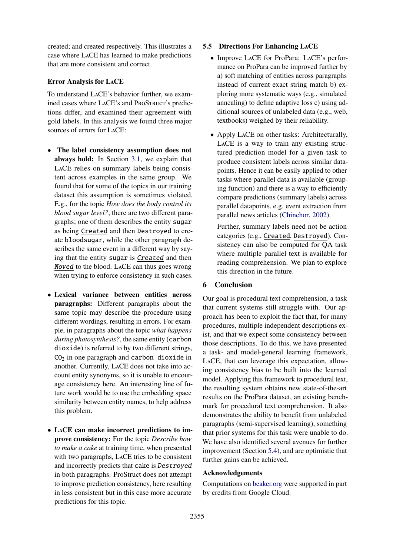created; and created respectively. This illustrates a case where LaCE has learned to make predictions that are more consistent and correct.

# Error Analysis for LaCE

To understand LaCE's behavior further, we examined cases where LACE's and ProSTRUCT's predictions differ, and examined their agreement with gold labels. In this analysis we found three major sources of errors for LaCE:

- The label consistency assumption does not always hold: In Section [3.1,](#page-2-1) we explain that LaCE relies on summary labels being consistent across examples in the same group. We found that for some of the topics in our training dataset this assumption is sometimes violated. E.g., for the topic *How does the body control its blood sugar level?*, there are two different paragraphs; one of them describes the entity sugar as being Created and then Destroyed to create bloodsugar, while the other paragraph describes the same event in a different way by saying that the entity sugar is Created and then Moved to the blood. LaCE can thus goes wrong when trying to enforce consistency in such cases.
- Lexical variance between entities across paragraphs: Different paragraphs about the same topic may describe the procedure using different wordings, resulting in errors. For example, in paragraphs about the topic *what happens during photosynthesis?*, the same entity (carbon dioxide) is referred to by two different strings,  $CO<sub>2</sub>$  in one paragraph and carbon dioxide in another. Currently, LaCE does not take into account entity synonyms, so it is unable to encourage consistency here. An interesting line of future work would be to use the embedding space similarity between entity names, to help address this problem.
- LaCE can make incorrect predictions to improve consistency: For the topic *Describe how to make a cake* at training time, when presented with two paragraphs, LaCE tries to be consistent and incorrectly predicts that cake is Destroyed in both paragraphs. ProStruct does not attempt to improve prediction consistency, here resulting in less consistent but in this case more accurate predictions for this topic.

### 5.5 Directions For Enhancing LaCE

- Improve LaCE for ProPara: LaCE's performance on ProPara can be improved further by a) soft matching of entities across paragraphs instead of current exact string match b) exploring more systematic ways (e.g., simulated annealing) to define adaptive loss c) using additional sources of unlabeled data (e.g., web, textbooks) weighed by their reliability.
- Apply LaCE on other tasks: Architecturally, LaCE is a way to train any existing structured prediction model for a given task to produce consistent labels across similar datapoints. Hence it can be easily applied to other tasks where parallel data is available (grouping function) and there is a way to efficiently compare predictions (summary labels) across parallel datapoints, e.g. event extraction from parallel news articles [\(Chinchor,](#page-9-25) [2002\)](#page-9-25).

Further, summary labels need not be action categories (e.g., Created, Destroyed). Consistency can also be computed for QA task where multiple parallel text is available for reading comprehension. We plan to explore this direction in the future.

# 6 Conclusion

Our goal is procedural text comprehension, a task that current systems still struggle with. Our approach has been to exploit the fact that, for many procedures, multiple independent descriptions exist, and that we expect some consistency between those descriptions. To do this, we have presented a task- and model-general learning framework, LaCE, that can leverage this expectation, allowing consistency bias to be built into the learned model. Applying this framework to procedural text, the resulting system obtains new state-of-the-art results on the ProPara dataset, an existing benchmark for procedural text comprehension. It also demonstrates the ability to benefit from unlabeled paragraphs (semi-supervised learning), something that prior systems for this task were unable to do. We have also identified several avenues for further improvement (Section [5.4\)](#page-7-2), and are optimistic that further gains can be achieved.

# Acknowledgements

Computations on [beaker.org](https://beaker.org) were supported in part by credits from Google Cloud.